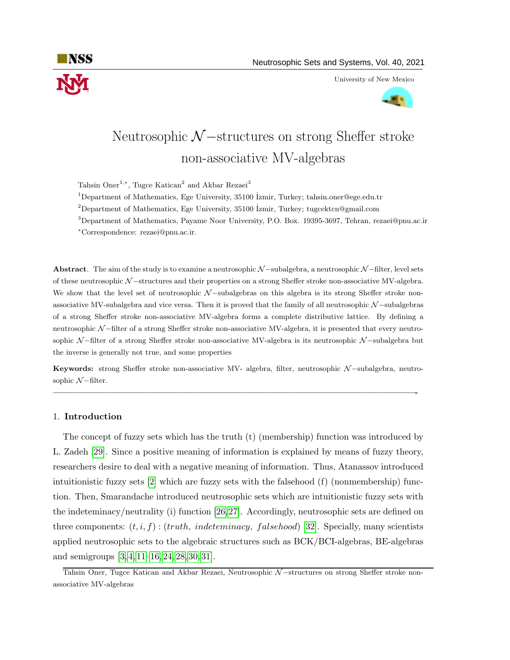

University of New Mexico



# Neutrosophic  $\mathcal{N}-$ structures on strong Sheffer stroke non-associative MV-algebras

Tahsin Oner<sup>1,∗</sup>, Tugce Katican<sup>2</sup> and Akbar Rezaei<sup>3</sup>

<sup>1</sup>Department of Mathematics, Ege University, 35100  $\overline{\text{zmir}}$ , Turkey; tahsin.oner@ege.edu.tr

<sup>2</sup>Department of Mathematics, Ege University, 35100 *Izmir*, Turkey; tugcektcn@gmail.com

<sup>3</sup>Department of Mathematics, Payame Noor University, P.O. Box. 19395-3697, Tehran, rezaei@pnu.ac.ir

<sup>∗</sup>Correspondence: rezaei@pnu.ac.ir.

Abstract. The aim of the study is to examine a neutrosophic N −subalgebra, a neutrosophic N −filter, level sets of these neutrosophic N −structures and their properties on a strong Sheffer stroke non-associative MV-algebra. We show that the level set of neutrosophic N −subalgebras on this algebra is its strong Sheffer stroke nonassociative MV-subalgebra and vice versa. Then it is proved that the family of all neutrosophic N −subalgebras of a strong Sheffer stroke non-associative MV-algebra forms a complete distributive lattice. By defining a neutrosophic N −filter of a strong Sheffer stroke non-associative MV-algebra, it is presented that every neutrosophic N −filter of a strong Sheffer stroke non-associative MV-algebra is its neutrosophic N −subalgebra but the inverse is generally not true, and some properties

Keywords: strong Sheffer stroke non-associative MV- algebra, filter, neutrosophic N −subalgebra, neutrosophic  $N$  –filter.

—————————————————————————————————————————-

### 1. Introduction

The concept of fuzzy sets which has the truth (t) (membership) function was introduced by L. Zadeh [\[29\]](#page-17-0). Since a positive meaning of information is explained by means of fuzzy theory, researchers desire to deal with a negative meaning of information. Thus, Atanassov introduced intuitionistic fuzzy sets [\[2\]](#page-16-0) which are fuzzy sets with the falsehood (f) (nonmembership) function. Then, Smarandache introduced neutrosophic sets which are intuitionistic fuzzy sets with the indeteminacy/neutrality (i) function [\[26,](#page-17-1)[27\]](#page-17-2). Accordingly, neutrosophic sets are defined on three components:  $(t, i, f)$ :  $(truth, indeteminacy, falschool)$  [\[32\]](#page-17-3). Specially, many scientists applied neutrosophic sets to the algebraic structures such as BCK/BCI-algebras, BE-algebras and semigroups [\[3,](#page-16-1) [4,](#page-16-2) [11](#page-16-3)[–16,](#page-16-4) [24,](#page-17-4) [28,](#page-17-5) [30,](#page-17-6) [31\]](#page-17-7).

Tahsin Oner, Tugce Katican and Akbar Rezaei, Neutrosophic N-structures on strong Sheffer stroke nonassociative MV-algebras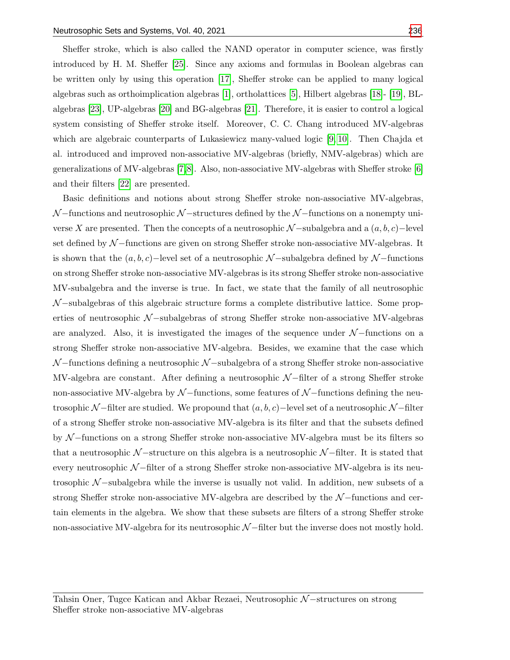Sheffer stroke, which is also called the NAND operator in computer science, was firstly introduced by H. M. Sheffer [\[25\]](#page-17-9). Since any axioms and formulas in Boolean algebras can be written only by using this operation [\[17\]](#page-16-5), Sheffer stroke can be applied to many logical algebras such as orthoimplication algebras [\[1\]](#page-16-6), ortholattices [\[5\]](#page-16-7), Hilbert algebras [\[18\]](#page-16-8)- [\[19\]](#page-16-9), BLalgebras [\[23\]](#page-17-10), UP-algebras [\[20\]](#page-16-10) and BG-algebras [\[21\]](#page-16-11). Therefore, it is easier to control a logical system consisting of Sheffer stroke itself. Moreover, C. C. Chang introduced MV-algebras which are algebraic counterparts of Lukasiewicz many-valued logic [\[9,](#page-16-12) [10\]](#page-16-13). Then Chajda et al. introduced and improved non-associative MV-algebras (briefly, NMV-algebras) which are generalizations of MV-algebras [\[7,](#page-16-14)[8\]](#page-16-15). Also, non-associative MV-algebras with Sheffer stroke [\[6\]](#page-16-16) and their filters [\[22\]](#page-16-17) are presented.

Basic definitions and notions about strong Sheffer stroke non-associative MV-algebras,  $\mathcal{N}-$ functions and neutrosophic  $\mathcal{N}-$ structures defined by the  $\mathcal{N}-$ functions on a nonempty universe X are presented. Then the concepts of a neutrosophic  $\mathcal{N}-subalgebra$  and a  $(a, b, c)-level$ set defined by N −functions are given on strong Sheffer stroke non-associative MV-algebras. It is shown that the  $(a, b, c)$ −level set of a neutrosophic N-subalgebra defined by N-functions on strong Sheffer stroke non-associative MV-algebras is its strong Sheffer stroke non-associative MV-subalgebra and the inverse is true. In fact, we state that the family of all neutrosophic  $\mathcal{N}-$ subalgebras of this algebraic structure forms a complete distributive lattice. Some properties of neutrosophic N-subalgebras of strong Sheffer stroke non-associative MV-algebras are analyzed. Also, it is investigated the images of the sequence under N −functions on a strong Sheffer stroke non-associative MV-algebra. Besides, we examine that the case which N −functions defining a neutrosophic N −subalgebra of a strong Sheffer stroke non-associative MV-algebra are constant. After defining a neutrosophic  $\mathcal{N}-$ filter of a strong Sheffer stroke non-associative MV-algebra by  $\mathcal{N}-$ functions, some features of  $\mathcal{N}-$ functions defining the neutrosophic N −filter are studied. We propound that  $(a, b, c)$  –level set of a neutrosophic N −filter of a strong Sheffer stroke non-associative MV-algebra is its filter and that the subsets defined by N −functions on a strong Sheffer stroke non-associative MV-algebra must be its filters so that a neutrosophic  $\mathcal{N}-$ structure on this algebra is a neutrosophic  $\mathcal{N}-$ filter. It is stated that every neutrosophic N-filter of a strong Sheffer stroke non-associative MV-algebra is its neutrosophic  $\mathcal{N}-$ subalgebra while the inverse is usually not valid. In addition, new subsets of a strong Sheffer stroke non-associative MV-algebra are described by the  $\mathcal{N}-$ functions and certain elements in the algebra. We show that these subsets are filters of a strong Sheffer stroke non-associative MV-algebra for its neutrosophic  $\mathcal{N}-$ filter but the inverse does not mostly hold.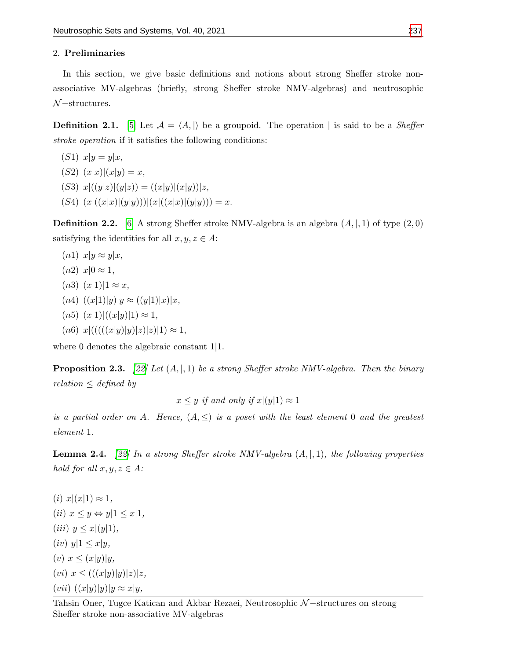## 2. Preliminaries

In this section, we give basic definitions and notions about strong Sheffer stroke nonassociative MV-algebras (briefly, strong Sheffer stroke NMV-algebras) and neutrosophic  $\mathcal{N}-$ structures.

**Definition 2.1.** [\[5\]](#page-16-7) Let  $\mathcal{A} = \langle A, \vert \rangle$  be a groupoid. The operation | is said to be a Sheffer stroke operation if it satisfies the following conditions:

- $(S1)$   $x|y = y|x,$  $(S2)$   $(x|x)|(x|y) = x,$ (S3)  $x|((y|z)|(y|z)) = ((x|y)|(x|y))|z,$
- $(S4)$   $(x|((x|x)|(y|y))))|(x|((x|x)|(y|y))) = x.$

**Definition 2.2.** [\[6\]](#page-16-16) A strong Sheffer stroke NMV-algebra is an algebra  $(A, \vert, 1)$  of type  $(2, 0)$ satisfying the identities for all  $x, y, z \in A$ :

 $(n1)$   $x|y \approx y|x,$  $(n2)$   $x|0 \approx 1$ ,  $(n3)$   $(x|1)|1 \approx x$ ,  $(n4)$   $((x|1)|y)|y \approx ((y|1)|x)|x,$  $(n5)$   $(x|1)|((x|y)|1) \approx 1,$  $(n6)$   $x|(((((x|y)|y)|z)|z)|1) \approx 1,$ 

where 0 denotes the algebraic constant 1|1.

**Proposition 2.3.** [\[22\]](#page-16-17) Let  $(A, \vert A)$  be a strong Sheffer stroke NMV-algebra. Then the binary  $relation \leq defined$  by

 $x \leq y$  if and only if  $x|(y|1) \approx 1$ 

is a partial order on A. Hence,  $(A, \leq)$  is a poset with the least element 0 and the greatest element 1.

**Lemma 2.4.** [\[22\]](#page-16-17) In a strong Sheffer stroke NMV-algebra  $(A, \vert, 1)$ , the following properties hold for all  $x, y, z \in A$ :

 $(i)$   $x|(x|1) \approx 1$ , (ii)  $x \leq y \Leftrightarrow y|1 \leq x|1$ , (iii)  $y \leq x|(y|1)$ ,  $(iv)$   $y|1 \leq x|y,$ (v)  $x \leq (x|y)|y,$ (vi)  $x \leq (((x|y)|y)|z)|z,$  $(vii) ((x|y)|y)|y \approx x|y,$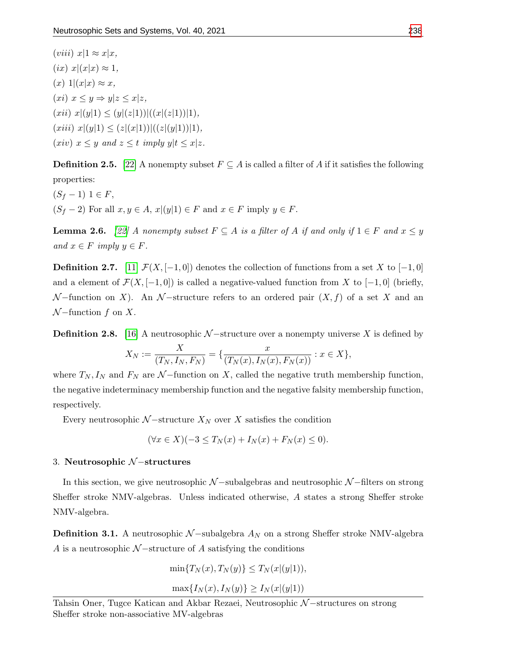$(viii)$   $x|1 \approx x|x,$  $(ix)$   $x|(x|x) \approx 1$ ,  $(x)$  1 $(x|x) \approx x$ ,  $(xi)$   $x \leq y \Rightarrow y|z \leq x|z$ ,  $(xii)$   $x|(y|1) \leq (y|(z|1))|((x|(z|1))|1),$  $(xiii)$   $x|(y|1) \leq (z|(x|1))|((z|(y|1))|1),$ (xiv)  $x \leq y$  and  $z \leq t$  imply  $y|t \leq x|z$ .

**Definition 2.5.** [\[22\]](#page-16-17) A nonempty subset  $F \subseteq A$  is called a filter of A if it satisfies the following properties:

 $(S_f - 1)$  1  $\in$  F,  $(S_f - 2)$  For all  $x, y \in A$ ,  $x|(y|1) \in F$  and  $x \in F$  imply  $y \in F$ .

**Lemma 2.6.** [\[22\]](#page-16-17) A nonempty subset  $F \subseteq A$  is a filter of A if and only if  $1 \in F$  and  $x \le y$ and  $x \in F$  imply  $y \in F$ .

**Definition 2.7.** [\[11\]](#page-16-3)  $\mathcal{F}(X, [-1, 0])$  denotes the collection of functions from a set X to [-1,0] and a element of  $\mathcal{F}(X, [-1, 0])$  is called a negative-valued function from X to  $[-1, 0]$  (briefly,  $\mathcal{N}-$ function on X). An  $\mathcal{N}-$ structure refers to an ordered pair  $(X, f)$  of a set X and an  $\mathcal{N}$  –function f on X.

**Definition 2.8.** [\[16\]](#page-16-4) A neutrosophic  $N$  –structure over a nonempty universe X is defined by

$$
X_N := \frac{X}{(T_N, I_N, F_N)} = \{ \frac{x}{(T_N(x), I_N(x), F_N(x))} : x \in X \},
$$

where  $T_N, I_N$  and  $F_N$  are  $\mathcal{N}-$ function on X, called the negative truth membership function, the negative indeterminacy membership function and the negative falsity membership function, respectively.

Every neutrosophic  $N$  –structure  $X_N$  over X satisfies the condition

$$
(\forall x \in X)(-3 \le T_N(x) + I_N(x) + F_N(x) \le 0).
$$

#### 3. Neutrosophic N −structures

In this section, we give neutrosophic  $\mathcal{N}-$ subalgebras and neutrosophic  $\mathcal{N}-$ filters on strong Sheffer stroke NMV-algebras. Unless indicated otherwise, A states a strong Sheffer stroke NMV-algebra.

**Definition 3.1.** A neutrosophic  $N$  –subalgebra  $A_N$  on a strong Sheffer stroke NMV-algebra A is a neutrosophic  $\mathcal{N}-$ structure of A satisfying the conditions

$$
\min\{T_N(x), T_N(y)\} \le T_N(x|(y|1)),
$$

$$
\max\{I_N(x), I_N(y)\} \ge I_N(x|(y|1))
$$

Tahsin Oner, Tugce Katican and Akbar Rezaei, Neutrosophic N−structures on strong Sheffer stroke non-associative MV-algebras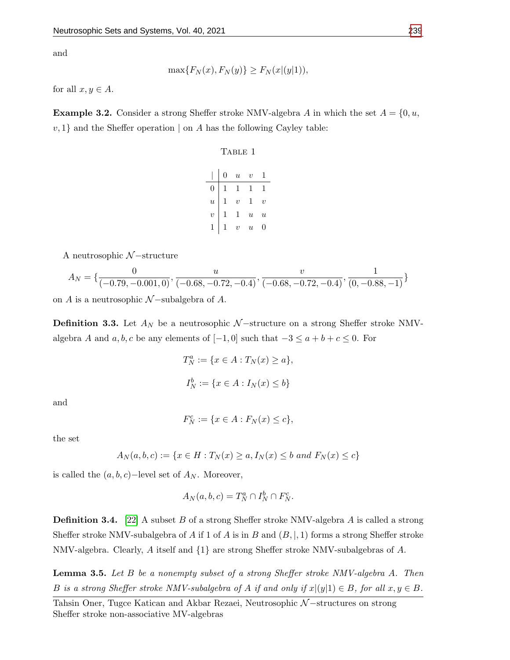and

$$
\max\{F_N(x), F_N(y)\} \ge F_N(x|(y|1)),
$$

for all  $x, y \in A$ .

**Example 3.2.** Consider a strong Sheffer stroke NMV-algebra A in which the set  $A = \{0, u, \ldots\}$  $v, 1$  and the Sheffer operation  $\vert$  on A has the following Cayley table:

## TABLE 1

|                | 0 | $\boldsymbol{u}$ | $\boldsymbol{v}$ |                  |
|----------------|---|------------------|------------------|------------------|
| $\overline{0}$ | 1 | 1                | 1                |                  |
| $\overline{u}$ | 1 | $\overline{v}$   | $\mathbf{1}$     | $\overline{v}$   |
| $\overline{v}$ | 1 | 1                | $\boldsymbol{u}$ | $\boldsymbol{u}$ |
| 1              |   | $\upsilon$       | $\boldsymbol{u}$ | 0                |

A neutrosophic  $\mathcal{N}-$ structure

$$
A_N = \{ \frac{0}{(-0.79, -0.001, 0)}, \frac{u}{(-0.68, -0.72, -0.4)}, \frac{v}{(-0.68, -0.72, -0.4)}, \frac{1}{(0, -0.88, -1)} \}
$$

on A is a neutrosophic  $\mathcal{N}-subalgebra$  of A.

**Definition 3.3.** Let  $A_N$  be a neutrosophic  $N$  –structure on a strong Sheffer stroke NMValgebra A and  $a, b, c$  be any elements of  $[-1, 0]$  such that  $-3 \le a + b + c \le 0$ . For

$$
T_N^a := \{ x \in A : T_N(x) \ge a \},
$$
  

$$
I_N^b := \{ x \in A : I_N(x) \le b \}
$$

and

$$
F_N^c := \{ x \in A : F_N(x) \le c \},
$$

the set

$$
A_N(a, b, c) := \{x \in H : T_N(x) \ge a, I_N(x) \le b \text{ and } F_N(x) \le c\}
$$

is called the  $(a, b, c)$ −level set of  $A_N$ . Moreover,

$$
A_N(a, b, c) = T_N^a \cap I_N^b \cap F_N^c.
$$

**Definition 3.4.** [\[22\]](#page-16-17) A subset B of a strong Sheffer stroke NMV-algebra A is called a strong Sheffer stroke NMV-subalgebra of A if 1 of A is in B and  $(B, \vert, 1)$  forms a strong Sheffer stroke NMV-algebra. Clearly, A itself and  $\{1\}$  are strong Sheffer stroke NMV-subalgebras of A.

**Lemma 3.5.** Let  $B$  be a nonempty subset of a strong Sheffer stroke NMV-algebra  $A$ . Then B is a strong Sheffer stroke NMV-subalgebra of A if and only if  $x|(y|1) \in B$ , for all  $x, y \in B$ .

Tahsin Oner, Tugce Katican and Akbar Rezaei, Neutrosophic N−structures on strong Sheffer stroke non-associative MV-algebras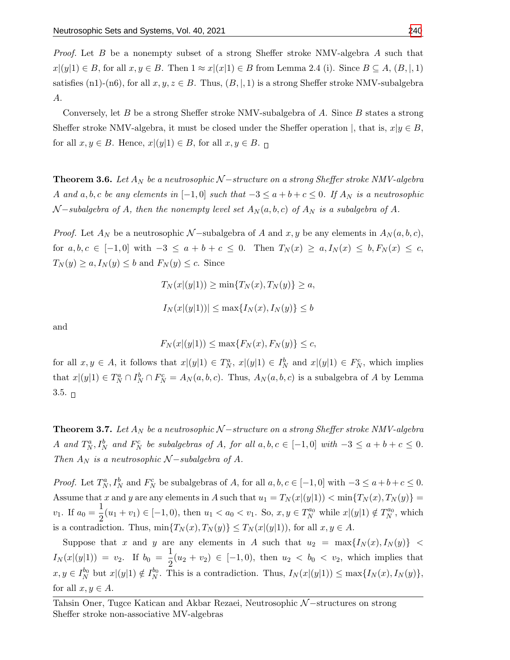Proof. Let B be a nonempty subset of a strong Sheffer stroke NMV-algebra A such that  $x|(y|1) \in B$ , for all  $x, y \in B$ . Then  $1 \approx x|(x|1) \in B$  from Lemma 2.4 (i). Since  $B \subseteq A$ ,  $(B, |, 1)$ satisfies (n1)-(n6), for all  $x, y, z \in B$ . Thus,  $(B, \vert, 1)$  is a strong Sheffer stroke NMV-subalgebra A.

Conversely, let  $B$  be a strong Sheffer stroke NMV-subalgebra of  $A$ . Since  $B$  states a strong Sheffer stroke NMV-algebra, it must be closed under the Sheffer operation |, that is,  $x|y \in B$ , for all  $x, y \in B$ . Hence,  $x|(y|1) \in B$ , for all  $x, y \in B$ .

**Theorem 3.6.** Let  $A_N$  be a neutrosophic N – structure on a strong Sheffer stroke NMV-algebra A and a, b, c be any elements in  $[-1,0]$  such that  $-3 \le a+b+c \le 0$ . If  $A_N$  is a neutrosophic  $\mathcal{N}-subalgebra$  of A, then the nonempty level set  $A_N(a, b, c)$  of  $A_N$  is a subalgebra of A.

*Proof.* Let  $A_N$  be a neutrosophic N-subalgebra of A and x, y be any elements in  $A_N(a, b, c)$ , for  $a, b, c \in [-1, 0]$  with  $-3 \le a + b + c \le 0$ . Then  $T_N(x) \ge a, I_N(x) \le b, F_N(x) \le c$ ,  $T_N(y) \ge a, I_N(y) \le b$  and  $F_N(y) \le c$ . Since

$$
T_N(x|(y|1)) \ge \min\{T_N(x), T_N(y)\} \ge a,
$$
  

$$
I_N(x|(y|1))| \le \max\{I_N(x), I_N(y)\} \le b
$$

and

$$
F_N(x|(y|1)) \le \max\{F_N(x), F_N(y)\} \le c,
$$

for all  $x, y \in A$ , it follows that  $x|(y|1) \in T_N^a$ ,  $x|(y|1) \in I_N^b$  and  $x|(y|1) \in F_N^c$ , which implies that  $x|(y|1) \in T_N^a \cap I_N^b \cap F_N^c = A_N(a, b, c)$ . Thus,  $A_N(a, b, c)$  is a subalgebra of A by Lemma  $3.5.$   $\Box$ 

**Theorem 3.7.** Let  $A_N$  be a neutrosophic  $N$  –structure on a strong Sheffer stroke NMV-algebra A and  $T_N^a$ ,  $I_N^b$  and  $F_N^c$  be subalgebras of A, for all  $a, b, c \in [-1, 0]$  with  $-3 \le a + b + c \le 0$ . Then  $A_N$  is a neutrosophic  $N$  –subalgebra of A.

*Proof.* Let  $T_N^a, I_N^b$  and  $F_N^c$  be subalgebras of A, for all  $a, b, c \in [-1, 0]$  with  $-3 \le a+b+c \le 0$ . Assume that x and y are any elements in A such that  $u_1 = T_N(x|(y|1)) < \min\{T_N(x), T_N(y)\} =$  $v_1$ . If  $a_0 = \frac{1}{2}$  $\frac{1}{2}(u_1 + v_1) \in [-1, 0)$ , then  $u_1 < a_0 < v_1$ . So,  $x, y \in T_N^{a_0}$  while  $x|(y|1) \notin T_N^{a_0}$ , which is a contradiction. Thus,  $\min\{T_N(x), T_N(y)\} \leq T_N(x|\gamma(y|1))$ , for all  $x, y \in A$ .

Suppose that x and y are any elements in A such that  $u_2 = \max\{I_N(x), I_N(y)\}$  <  $I_N(x|(y|1)) = v_2$ . If  $b_0 = \frac{1}{2}$  $\frac{1}{2}(u_2 + v_2) \in [-1, 0)$ , then  $u_2 < b_0 < v_2$ , which implies that  $x, y \in I_N^{b_0}$  but  $x|(y|1) \notin I_N^{b_0}$ . This is a contradiction. Thus,  $I_N(x|(y|1)) \leq \max\{I_N(x), I_N(y)\},$ for all  $x, y \in A$ .

Tahsin Oner, Tugce Katican and Akbar Rezaei, Neutrosophic N-structures on strong Sheffer stroke non-associative MV-algebras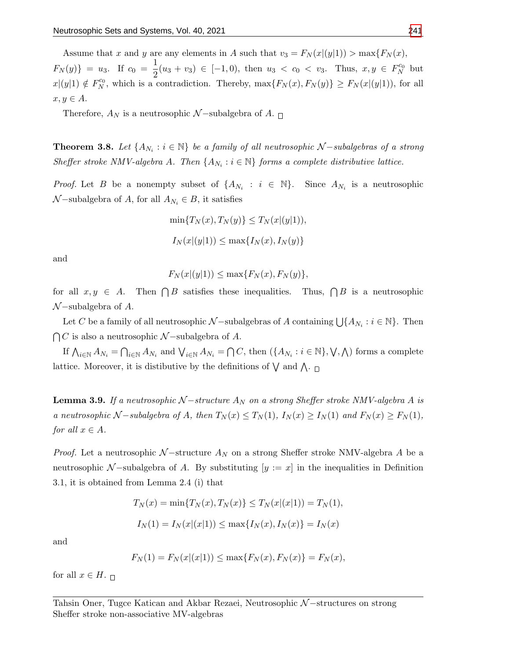Assume that x and y are any elements in A such that  $v_3 = F_N(x|(y|1)) > \max\{F_N(x),\}$  $F_N(y)$ } = u<sub>3</sub>. If  $c_0 = \frac{1}{2}$  $\frac{1}{2}(u_3 + v_3) \in [-1, 0)$ , then  $u_3 < c_0 < v_3$ . Thus,  $x, y \in F_N^{c_0}$  but  $x|(y|1) \notin F_N^{c_0}$ , which is a contradiction. Thereby,  $\max\{F_N(x), F_N(y)\} \geq F_N(x|(y|1))$ , for all  $x, y \in A$ .

Therefore,  $A_N$  is a neutrosophic  $\mathcal{N}-\mathrm{subalgebra}$  of  $A.$   $\Box$ 

**Theorem 3.8.** Let  $\{A_{N_i} : i \in \mathbb{N}\}\$  be a family of all neutrosophic  $\mathcal{N}-subalgebras$  of a strong Sheffer stroke NMV-algebra A. Then  $\{A_{N_i} : i \in \mathbb{N}\}\$  forms a complete distributive lattice.

*Proof.* Let B be a nonempty subset of  $\{A_{N_i} : i \in \mathbb{N}\}\$ . Since  $A_{N_i}$  is a neutrosophic  $\mathcal{N}-subalgebra$  of A, for all  $A_{N_i} \in B$ , it satisfies

$$
\min\{T_N(x), T_N(y)\} \le T_N(x|(y|1)),
$$
  

$$
I_N(x|(y|1)) \le \max\{I_N(x), I_N(y)\}
$$

and

$$
F_N(x|(y|1)) \le \max\{F_N(x), F_N(y)\},\
$$

for all  $x, y \in A$ . Then  $\bigcap B$  satisfies these inequalities. Thus,  $\bigcap$ Thus,  $\bigcap B$  is a neutrosophic  $\mathcal{N}-subalgebra$  of  $A$ .

Let C be a family of all neutrosophic  $\mathcal{N}$ -subalgebras of A containing  $\bigcup \{A_{N_i} : i \in \mathbb{N}\}\$ . Then  $\bigcap C$  is also a neutrosophic  $\mathcal{N}-subalgebra$  of A.

If  $\bigwedge_{i\in\mathbb{N}}A_{N_i}=\bigcap_{i\in\mathbb{N}}A_{N_i}$  and  $\bigvee_{i\in\mathbb{N}}A_{N_i}=\bigcap C$ , then  $(\{A_{N_i}:i\in\mathbb{N}\},\bigvee,\bigwedge)$  forms a complete lattice. Moreover, it is distibutive by the definitions of  $\bigvee$  and  $\bigwedge$ .

**Lemma 3.9.** If a neutrosophic  $N$  –structure  $A_N$  on a strong Sheffer stroke NMV-algebra A is a neutrosophic  $\mathcal{N}-subalgebra$  of  $A$ , then  $T_N(x) \leq T_N(1)$ ,  $I_N(x) \geq I_N(1)$  and  $F_N(x) \geq F_N(1)$ , for all  $x \in A$ .

*Proof.* Let a neutrosophic  $N$ -structure  $A_N$  on a strong Sheffer stroke NMV-algebra A be a neutrosophic N –subalgebra of A. By substituting  $[y := x]$  in the inequalities in Definition 3.1, it is obtained from Lemma 2.4 (i) that

$$
T_N(x) = \min\{T_N(x), T_N(x)\} \le T_N(x|(x|1)) = T_N(1),
$$
  

$$
I_N(1) = I_N(x|(x|1)) \le \max\{I_N(x), I_N(x)\} = I_N(x)
$$

and

$$
F_N(1) = F_N(x|(x|1)) \le \max\{F_N(x), F_N(x)\} = F_N(x),
$$

for all  $x \in H$ .  $\Box$ 

Tahsin Oner, Tugce Katican and Akbar Rezaei, Neutrosophic N-structures on strong Sheffer stroke non-associative MV-algebras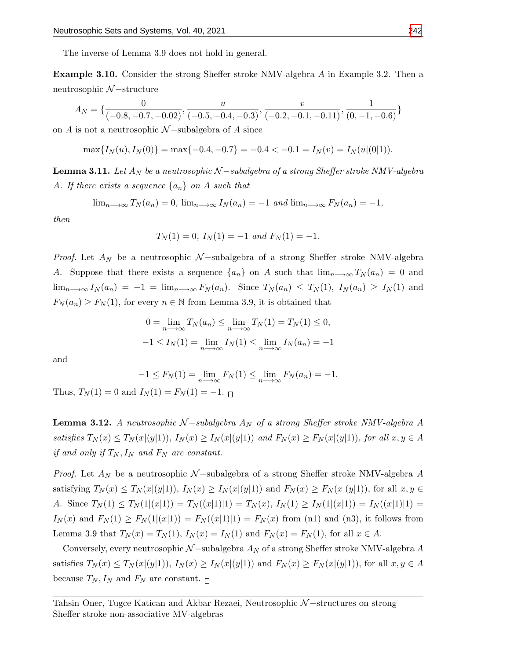The inverse of Lemma 3.9 does not hold in general.

Example 3.10. Consider the strong Sheffer stroke NMV-algebra A in Example 3.2. Then a neutrosophic N −structure

$$
A_N = \{ \frac{0}{(-0.8, -0.7, -0.02)}, \frac{u}{(-0.5, -0.4, -0.3)}, \frac{v}{(-0.2, -0.1, -0.11)}, \frac{1}{(0, -1, -0.6)} \}
$$

on A is not a neutrosophic  $N$  –subalgebra of A since

$$
\max\{I_N(u), I_N(0)\} = \max\{-0.4, -0.7\} = -0.4 < -0.1 = I_N(v) = I_N(u|(0|1)).
$$

**Lemma 3.11.** Let  $A_N$  be a neutrosophic  $N$  – subalgebra of a strong Sheffer stroke NMV-algebra A. If there exists a sequence  $\{a_n\}$  on A such that

$$
\lim_{n\to\infty} T_N(a_n) = 0
$$
,  $\lim_{n\to\infty} I_N(a_n) = -1$  and  $\lim_{n\to\infty} F_N(a_n) = -1$ ,

then

$$
T_N(1) = 0
$$
,  $I_N(1) = -1$  and  $F_N(1) = -1$ .

*Proof.* Let  $A_N$  be a neutrosophic N-subalgebra of a strong Sheffer stroke NMV-algebra A. Suppose that there exists a sequence  $\{a_n\}$  on A such that  $\lim_{n\to\infty}T_N(a_n)=0$  and  $\lim_{n\to\infty} I_N(a_n) = -1 = \lim_{n\to\infty} F_N(a_n)$ . Since  $T_N(a_n) \leq T_N(1)$ ,  $I_N(a_n) \geq I_N(1)$  and  $F_N(a_n) \ge F_N(1)$ , for every  $n \in \mathbb{N}$  from Lemma 3.9, it is obtained that

$$
0 = \lim_{n \to \infty} T_N(a_n) \le \lim_{n \to \infty} T_N(1) = T_N(1) \le 0,
$$
  
-1 \le I<sub>N</sub>(1) =  $\lim_{n \to \infty} I_N(1) \le \lim_{n \to \infty} I_N(a_n) = -1$ 

and

$$
-1 \le F_N(1) = \lim_{n \to \infty} F_N(1) \le \lim_{n \to \infty} F_N(a_n) = -1.
$$

Thus,  $T_N(1) = 0$  and  $I_N(1) = F_N(1) = -1$ .

**Lemma 3.12.** A neutrosophic  $N$ -subalgebra  $A_N$  of a strong Sheffer stroke NMV-algebra A satisfies  $T_N(x) \leq T_N(x|(y|1)), I_N(x) \geq I_N(x|(y|1))$  and  $F_N(x) \geq F_N(x|(y|1)),$  for all  $x, y \in A$ if and only if  $T_N, I_N$  and  $F_N$  are constant.

*Proof.* Let  $A_N$  be a neutrosophic N –subalgebra of a strong Sheffer stroke NMV-algebra A satisfying  $T_N(x) \leq T_N(x|\mathbf{x}|(y|1)), I_N(x) \geq I_N(x|\mathbf{x}|(y|1))$  and  $F_N(x) \geq F_N(x|\mathbf{x}|(y|1)),$  for all  $x, y \in$ A. Since  $T_N(1) \leq T_N(1|(x|1)) = T_N((x|1)|1) = T_N(x)$ ,  $I_N(1) \geq I_N(1|(x|1)) = I_N((x|1)|1) =$  $I_N(x)$  and  $F_N(1) \ge F_N(1|(x|1)) = F_N((x|1)|1) = F_N(x)$  from (n1) and (n3), it follows from Lemma 3.9 that  $T_N(x) = T_N(1)$ ,  $I_N(x) = I_N(1)$  and  $F_N(x) = F_N(1)$ , for all  $x \in A$ .

Conversely, every neutrosophic  $\mathcal{N}-$ subalgebra  $A_N$  of a strong Sheffer stroke NMV-algebra A satisfies  $T_N(x) \leq T_N(x)(y(1)), I_N(x) \geq I_N(x)(y(1))$  and  $F_N(x) \geq F_N(x)(y(1)),$  for all  $x, y \in A$ because  $T_N, I_N$  and  $F_N$  are constant.  $\Box$ 

Tahsin Oner, Tugce Katican and Akbar Rezaei, Neutrosophic N-structures on strong Sheffer stroke non-associative MV-algebras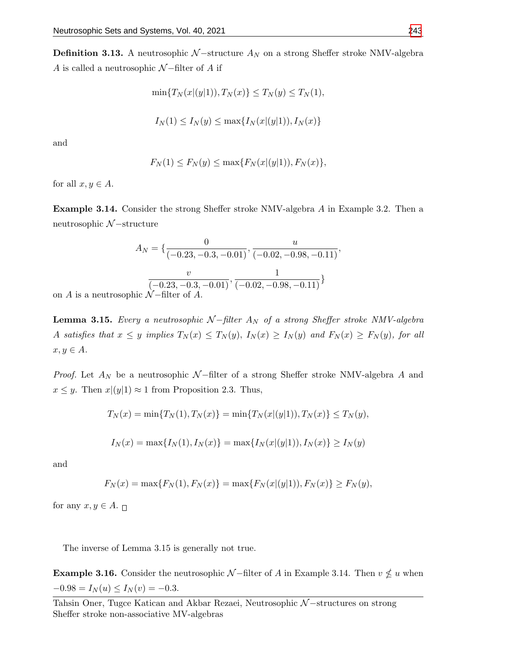**Definition 3.13.** A neutrosophic  $N$  –structure  $A_N$  on a strong Sheffer stroke NMV-algebra A is called a neutrosophic  $N$ –filter of A if

$$
\min\{T_N(x|(y|1)), T_N(x)\} \le T_N(y) \le T_N(1),
$$
  

$$
I_N(1) \le I_N(y) \le \max\{I_N(x|(y|1)), I_N(x)\}
$$

and

$$
F_N(1) \le F_N(y) \le \max\{F_N(x|(y|1)), F_N(x)\},\
$$

for all  $x, y \in A$ .

Example 3.14. Consider the strong Sheffer stroke NMV-algebra A in Example 3.2. Then a neutrosophic N −structure

$$
A_N = \left\{ \frac{0}{(-0.23, -0.3, -0.01)}, \frac{u}{(-0.02, -0.98, -0.11)}, \frac{v}{(-0.23, -0.3, -0.01)}, \frac{1}{(-0.02, -0.98, -0.11)} \right\}
$$
hic N–filter of A.

on  $A$  is a neutrosop

**Lemma 3.15.** Every a neutrosophic  $N$ -filter  $A_N$  of a strong Sheffer stroke NMV-algebra A satisfies that  $x \leq y$  implies  $T_N(x) \leq T_N(y)$ ,  $I_N(x) \geq I_N(y)$  and  $F_N(x) \geq F_N(y)$ , for all  $x, y \in A$ .

*Proof.* Let  $A_N$  be a neutrosophic  $N$ –filter of a strong Sheffer stroke NMV-algebra A and  $x \leq y$ . Then  $x|(y|1) \approx 1$  from Proposition 2.3. Thus,

$$
T_N(x) = \min\{T_N(1), T_N(x)\} = \min\{T_N(x|(y|1)), T_N(x)\} \le T_N(y),
$$

$$
I_N(x) = \max\{I_N(1), I_N(x)\} = \max\{I_N(x|(y|1)), I_N(x)\} \ge I_N(y)
$$

and

$$
F_N(x) = \max\{F_N(1), F_N(x)\} = \max\{F_N(x|(y|1)), F_N(x)\} \ge F_N(y),
$$

for any  $x, y \in A$ .  $\Box$ 

The inverse of Lemma 3.15 is generally not true.

**Example 3.16.** Consider the neutrosophic  $N$ -filter of A in Example 3.14. Then  $v \nleq u$  when  $-0.98 = I_N(u) \le I_N(v) = -0.3.$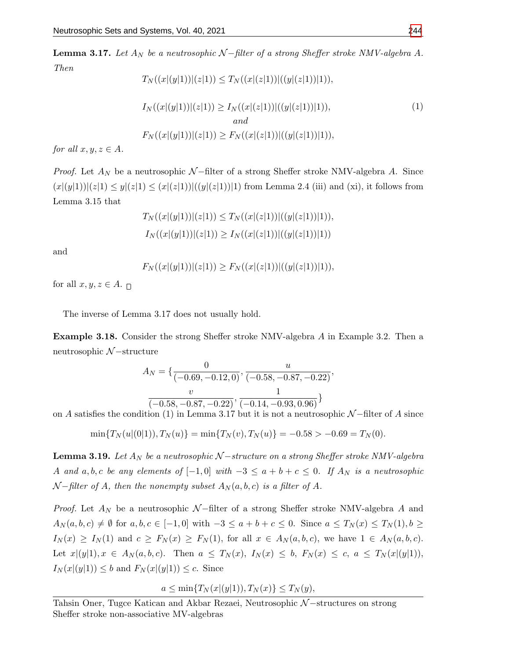**Lemma 3.17.** Let  $A_N$  be a neutrosophic  $N$ -filter of a strong Sheffer stroke NMV-algebra A. Then

$$
T_N((x|(y|1))|(z|1)) \le T_N((x|(z|1))|((y|(z|1))|1)),
$$
  
\n
$$
I_N((x|(y|1))|(z|1)) \ge I_N((x|(z|1))|((y|(z|1))|1)),
$$
  
\nand  
\n
$$
F_N((x|(y|1))|(z|1)) \ge F_N((x|(z|1))|((y|(z|1))|1)),
$$
  
\n(1)

for all  $x, y, z \in A$ .

*Proof.* Let  $A_N$  be a neutrosophic  $N$  –filter of a strong Sheffer stroke NMV-algebra A. Since  $(x|(y|1))|(z|1) \leq y|(z|1) \leq (x|(z|1))|((y|(z|1))|1)$  from Lemma 2.4 (iii) and (xi), it follows from Lemma 3.15 that

$$
T_N((x|(y|1))|(z|1)) \le T_N((x|(z|1))|((y|(z|1))|1)),
$$
  

$$
I_N((x|(y|1))|(z|1)) \ge I_N((x|(z|1))|((y|(z|1))|1))
$$

and

$$
F_N((x|(y|1))|(z|1)) \ge F_N((x|(z|1))|((y|(z|1))|1)),
$$

for all  $x, y, z \in A$ .

The inverse of Lemma 3.17 does not usually hold.

Example 3.18. Consider the strong Sheffer stroke NMV-algebra A in Example 3.2. Then a neutrosophic N −structure

$$
A_N = \left\{ \frac{0}{(-0.69, -0.12, 0)}, \frac{u}{(-0.58, -0.87, -0.22)}, \frac{v}{(-0.58, -0.87, -0.22)}, \frac{1}{(-0.14, -0.93, 0.96)} \right\}
$$

on A satisfies the condition (1) in Lemma 3.17 but it is not a neutrosophic  $\mathcal{N}-$ filter of A since

 $\min\{T_N(u|0|1), T_N(u)\} = \min\{T_N(v), T_N(u)\} = -0.58 > -0.69 = T_N(0).$ 

**Lemma 3.19.** Let  $A_N$  be a neutrosophic  $N$  – structure on a strong Sheffer stroke NMV-algebra A and a, b, c be any elements of  $[-1,0]$  with  $-3 \le a+b+c \le 0$ . If  $A_N$  is a neutrosophic  $\mathcal{N}-$ filter of A, then the nonempty subset  $A_N(a, b, c)$  is a filter of A.

*Proof.* Let  $A_N$  be a neutrosophic  $N$ -filter of a strong Sheffer stroke NMV-algebra A and  $A_N(a, b, c) \neq \emptyset$  for  $a, b, c \in [-1, 0]$  with  $-3 \leq a + b + c \leq 0$ . Since  $a \leq T_N(x) \leq T_N(1), b \geq 0$  $I_N(x) \geq I_N(1)$  and  $c \geq F_N(x) \geq F_N(1)$ , for all  $x \in A_N(a, b, c)$ , we have  $1 \in A_N(a, b, c)$ . Let  $x|(y|1), x \in A_N(a, b, c)$ . Then  $a \leq T_N(x), I_N(x) \leq b$ ,  $F_N(x) \leq c$ ,  $a \leq T_N(x|(y|1)),$  $I_N(x|(y|1)) \leq b$  and  $F_N(x|(y|1)) \leq c$ . Since

$$
a \le \min\{T_N(x|(y|1)), T_N(x)\} \le T_N(y),
$$

Tahsin Oner, Tugce Katican and Akbar Rezaei, Neutrosophic N-structures on strong Sheffer stroke non-associative MV-algebras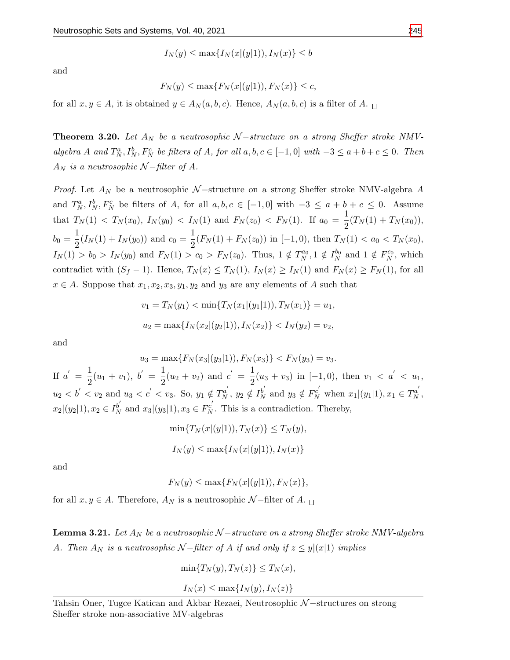$$
I_N(y) \le \max\{I_N(x|(y|1)), I_N(x)\} \le b
$$

and

$$
F_N(y) \le \max\{F_N(x|(y|1)), F_N(x)\} \le c,
$$

for all  $x, y \in A$ , it is obtained  $y \in A_N(a, b, c)$ . Hence,  $A_N(a, b, c)$  is a filter of A.  $\Box$ 

**Theorem 3.20.** Let  $A_N$  be a neutrosophic  $N$  –structure on a strong Sheffer stroke NMValgebra A and  $T_N^a$ ,  $I_N^b$ ,  $F_N^c$  be filters of A, for all  $a, b, c \in [-1, 0]$  with  $-3 \le a+b+c \le 0$ . Then  $A_N$  is a neutrosophic  $N$  – filter of A.

*Proof.* Let  $A_N$  be a neutrosophic  $N$ -structure on a strong Sheffer stroke NMV-algebra A and  $T_N^a, I_N^b, F_N^c$  be filters of A, for all  $a, b, c \in [-1,0]$  with  $-3 \le a+b+c \le 0$ . Assume that  $T_N(1) < T_N(x_0), I_N(y_0) < I_N(1)$  and  $F_N(z_0) < F_N(1)$ . If  $a_0 = \frac{1}{2}$  $\frac{1}{2}(T_N(1) + T_N(x_0)),$  $b_0 = \frac{1}{2}$  $\frac{1}{2}(I_N(1) + I_N(y_0))$  and  $c_0 = \frac{1}{2}$  $\frac{1}{2}(F_N(1) + F_N(z_0))$  in [-1,0), then  $T_N(1) < a_0 < T_N(x_0)$ ,  $I_N(1) > b_0 > I_N(y_0)$  and  $F_N(1) > c_0 > F_N(z_0)$ . Thus,  $1 \notin T_N^{a_0}, 1 \notin I_N^{b_0}$  and  $1 \notin F_N^{c_0}$ , which contradict with  $(S_f - 1)$ . Hence,  $T_N(x) \le T_N(1)$ ,  $I_N(x) \ge I_N(1)$  and  $F_N(x) \ge F_N(1)$ , for all  $x \in A$ . Suppose that  $x_1, x_2, x_3, y_1, y_2$  and  $y_3$  are any elements of A such that

$$
v_1 = T_N(y_1) < \min\{T_N(x_1|(y_1|1)), T_N(x_1)\} = u_1,
$$
\n
$$
u_2 = \max\{I_N(x_2|(y_2|1)), I_N(x_2)\} < I_N(y_2) = v_2,
$$

and

$$
u_3 = \max\{F_N(x_3|(y_3|1)), F_N(x_3)\} < F_N(y_3) = v_3.
$$
\nIf  $a' = \frac{1}{2}(u_1 + v_1)$ ,  $b' = \frac{1}{2}(u_2 + v_2)$  and  $c' = \frac{1}{2}(u_3 + v_3)$  in  $[-1, 0)$ , then  $v_1 < a' < u_1$ ,  $u_2 < b' < v_2$  and  $u_3 < c' < v_3$ . So,  $y_1 \notin T_N^{a'}$ ,  $y_2 \notin T_N^{b'}$  and  $y_3 \notin F_N^{c'}$  when  $x_1|(y_1|1), x_1 \in T_N^{a'}$ ,  $x_2|(y_2|1), x_2 \in T_N^{b'}$  and  $x_3|(y_3|1), x_3 \in F_N^{c'}$ . This is a contradiction. Thereby,

$$
\min\{T_N(x|(y|1)), T_N(x)\} \le T_N(y),
$$
  

$$
I_N(y) \le \max\{I_N(x|(y|1)), I_N(x)\}
$$

and

$$
F_N(y) \le \max\{F_N(x|(y|1)), F_N(x)\},\
$$

for all  $x, y \in A$ . Therefore,  $A_N$  is a neutrosophic  $\mathcal{N}-$ filter of A.  $\Box$ 

**Lemma 3.21.** Let  $A_N$  be a neutrosophic  $N$  –structure on a strong Sheffer stroke NMV-algebra A. Then  $A_N$  is a neutrosophic  $N$ -filter of A if and only if  $z \leq y|(x|1)$  implies

$$
\min\{T_N(y), T_N(z)\} \le T_N(x),
$$

$$
I_N(x) \le \max\{I_N(y), I_N(z)\}
$$

Tahsin Oner, Tugce Katican and Akbar Rezaei, Neutrosophic N-structures on strong Sheffer stroke non-associative MV-algebras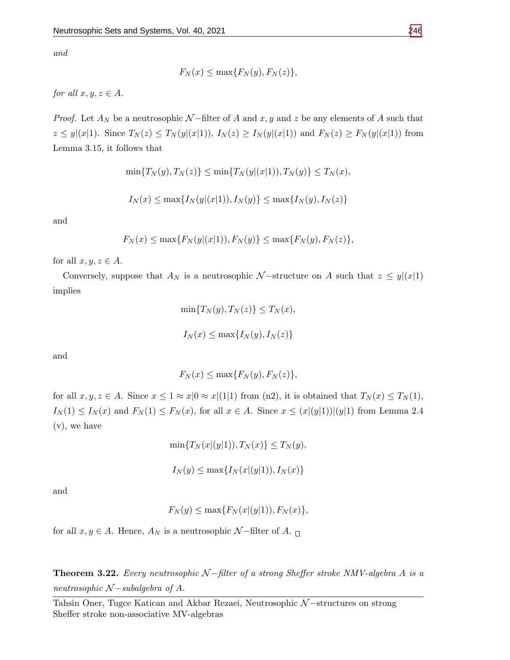and

$$
F_N(x) \le \max\{F_N(y), F_N(z)\},\
$$

for all  $x, y, z \in A$ .

*Proof.* Let  $A_N$  be a neutrosophic  $N$ -filter of A and x, y and z be any elements of A such that  $z \leq y|(x|1)$ . Since  $T_N(z) \leq T_N(y|(x|1)),$   $I_N(z) \geq I_N(y|(x|1))$  and  $F_N(z) \geq F_N(y|(x|1))$  from Lemma 3.15, it follows that

$$
\min\{T_N(y), T_N(z)\} \le \min\{T_N(y|(x|1)), T_N(y)\} \le T_N(x),
$$

$$
I_N(x) \le \max\{I_N(y|(x|1)), I_N(y)\} \le \max\{I_N(y), I_N(z)\}
$$

and

$$
F_N(x) \le \max\{F_N(y|(x|1)), F_N(y)\} \le \max\{F_N(y), F_N(z)\},\
$$

for all  $x, y, z \in A$ .

Conversely, suppose that  $A_N$  is a neutrosophic N-structure on A such that  $z \leq y|(x|1)$ implies

$$
\min\{T_N(y), T_N(z)\} \le T_N(x),
$$
  

$$
I_N(x) \le \max\{I_N(y), I_N(z)\}
$$

and

$$
F_N(x) \le \max\{F_N(y), F_N(z)\},\
$$

for all  $x, y, z \in A$ . Since  $x \leq 1 \approx x/0 \approx x/(1/1)$  from (n2), it is obtained that  $T_N(x) \leq T_N(1)$ ,  $I_N(1) \leq I_N(x)$  and  $F_N(1) \leq F_N(x)$ , for all  $x \in A$ . Since  $x \leq (x|(y|1))|(y|1)$  from Lemma 2.4 (v), we have

$$
\min\{T_N(x|(y|1)), T_N(x)\} \le T_N(y),
$$

 $I_N(y) \leq \max\{I_N(x|(y|1)), I_N(x)\}\$ 

and

$$
F_N(y) \le \max\{F_N(x|(y|1)), F_N(x)\},\
$$

for all  $x, y \in A$ . Hence,  $A_N$  is a neutrosophic  $\mathcal{N}-$ filter of  $A$ .  $\Box$ 

**Theorem 3.22.** Every neutrosophic  $N$ -filter of a strong Sheffer stroke NMV-algebra A is a neutrosophic  $N$  – subalgebra of A.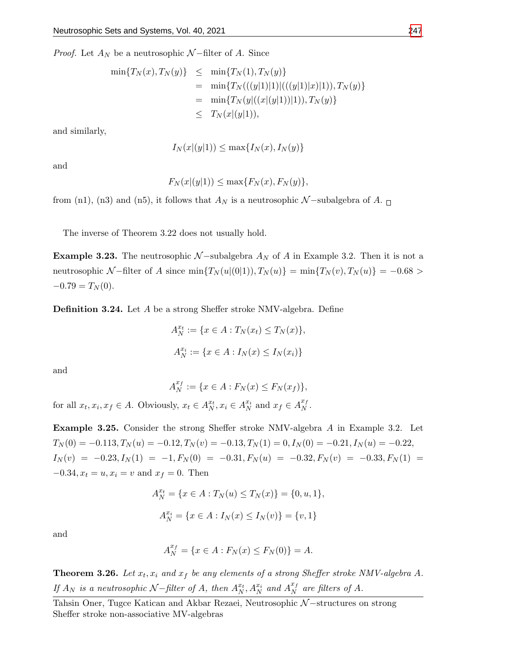*Proof.* Let  $A_N$  be a neutrosophic  $N$ -filter of A. Since

$$
\begin{array}{rcl}\n\min\{T_N(x), T_N(y)\} &\leq & \min\{T_N(1), T_N(y)\} \\
&=& \min\{T_N(((y|1)|1)|(((y|1)|x)|1)), T_N(y)\} \\
&=& \min\{T_N(y|((x|(y|1))|1)), T_N(y)\} \\
&\leq & T_N(x|(y|1)),\n\end{array}
$$

and similarly,

$$
I_N(x|(y|1)) \le \max\{I_N(x), I_N(y)\}
$$

and

$$
F_N(x|(y|1)) \le \max\{F_N(x), F_N(y)\},\
$$

from (n1), (n3) and (n5), it follows that  $A_N$  is a neutrosophic N-subalgebra of A.  $\Box$ 

The inverse of Theorem 3.22 does not usually hold.

**Example 3.23.** The neutrosophic  $N$  –subalgebra  $A_N$  of A in Example 3.2. Then it is not a neutrosophic N-filter of A since  $\min\{T_N(u|(0|1)), T_N(u)\} = \min\{T_N(v), T_N(u)\} = -0.68 >$  $-0.79 = T_N(0).$ 

**Definition 3.24.** Let A be a strong Sheffer stroke NMV-algebra. Define

$$
A_N^{x_t} := \{ x \in A : T_N(x_t) \le T_N(x) \},
$$
  

$$
A_N^{x_i} := \{ x \in A : I_N(x) \le I_N(x_i) \}
$$

and

$$
A_N^{x_f} := \{ x \in A : F_N(x) \le F_N(x_f) \},
$$

for all  $x_t, x_i, x_f \in A$ . Obviously,  $x_t \in A_N^{x_t}, x_i \in A_N^{x_i}$  and  $x_f \in A_N^{x_f}$  $\frac{1}{N}$ .

Example 3.25. Consider the strong Sheffer stroke NMV-algebra A in Example 3.2. Let  $T_N(0) = -0.113, T_N(u) = -0.12, T_N(v) = -0.13, T_N(1) = 0, I_N(0) = -0.21, I_N(u) = -0.22,$  $I_N(v) = -0.23, I_N(1) = -1, F_N(0) = -0.31, F_N(u) = -0.32, F_N(v) = -0.33, F_N(1) = -0.33, F_N(1) = -0.33, F_N(1) = -0.33, F_N(1) = -0.33, F_N(1) = -0.33, F_N(2) = -0.33, F_N(3) = -0.33, F_N(4) = -0.33, F_N(5) = -0.33, F_N(6) = -0.33, F_N(7) = -0.33, F_N(8) = -0.33, F_N(9) = -0.33, F_N(1) = -0.3$  $-0.34, x_t = u, x_i = v$  and  $x_f = 0$ . Then

$$
A_N^{x_t} = \{x \in A : T_N(u) \le T_N(x)\} = \{0, u, 1\},\
$$
  

$$
A_N^{x_i} = \{x \in A : I_N(x) \le I_N(v)\} = \{v, 1\}
$$

and

$$
A_N^{x_f} = \{ x \in A : F_N(x) \le F_N(0) \} = A.
$$

**Theorem 3.26.** Let  $x_t$ ,  $x_i$  and  $x_f$  be any elements of a strong Sheffer stroke NMV-algebra A. If  $A_N$  is a neutrosophic N–filter of A, then  $A_N^{x_t}, A_N^{x_i}$  and  $A_N^{x_f}$  $\frac{x_f}{N}$  are filters of A.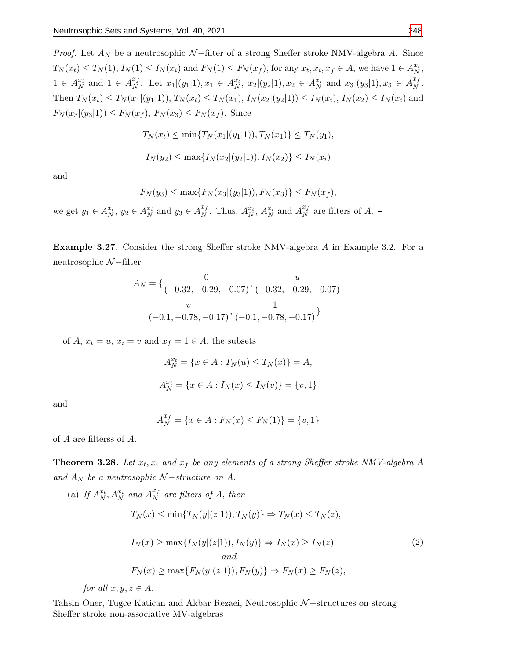*Proof.* Let  $A_N$  be a neutrosophic  $N$ -filter of a strong Sheffer stroke NMV-algebra A. Since  $T_N(x_t) \le T_N(1), I_N(1) \le I_N(x_i)$  and  $F_N(1) \le F_N(x_f)$ , for any  $x_t, x_i, x_f \in A$ , we have  $1 \in A_N^{x_t}$ ,  $1 \in A_N^{x_i}$  and  $1 \in A_N^{x_f}$  $X_N^{\{x_f\}}$ . Let  $x_1|(y_1|1), x_1 \in A_N^{x_t}, x_2|(y_2|1), x_2 \in A_N^{x_i}$  and  $x_3|(y_3|1), x_3 \in A_N^{x_f}$  $\frac{x_f}{N}$  . Then  $T_N(x_t) \leq T_N(x_1|(y_1|1)), T_N(x_t) \leq T_N(x_1), I_N(x_2|(y_2|1)) \leq I_N(x_i), I_N(x_2) \leq I_N(x_i)$  and  $F_N(x_3|(y_3|1)) \leq F_N(x_f), F_N(x_3) \leq F_N(x_f).$  Since

$$
T_N(x_t) \le \min\{T_N(x_1|(y_1|1)), T_N(x_1)\} \le T_N(y_1),
$$
  

$$
I_N(y_2) \le \max\{I_N(x_2|(y_2|1)), I_N(x_2)\} \le I_N(x_i)
$$

and

$$
F_N(y_3) \le \max\{F_N(x_3|(y_3|1)), F_N(x_3)\} \le F_N(x_f),
$$

we get  $y_1 \in A_N^{x_t}$ ,  $y_2 \in A_N^{x_i}$  and  $y_3 \in A_N^{x_f}$  $X_N^{\mathcal{X}_f}$ . Thus,  $A_N^{\mathcal{X}_t}$ ,  $A_N^{\mathcal{X}_i}$  and  $A_N^{\mathcal{X}_f}$  $\frac{d}{N}$  are filters of A.

Example 3.27. Consider the strong Sheffer stroke NMV-algebra A in Example 3.2. For a neutrosophic N −filter

$$
A_N = \{ \frac{0}{(-0.32, -0.29, -0.07)}, \frac{u}{(-0.32, -0.29, -0.07)}, \frac{v}{(-0.1, -0.78, -0.17)}, \frac{1}{(-0.1, -0.78, -0.17)} \}
$$

of A,  $x_t = u$ ,  $x_i = v$  and  $x_f = 1 \in A$ , the subsets

$$
A_N^{x_t} = \{x \in A : T_N(u) \le T_N(x)\} = A,
$$
  

$$
A_N^{x_i} = \{x \in A : I_N(x) \le I_N(v)\} = \{v, 1\}
$$

and

$$
A_N^{x_f} = \{ x \in A : F_N(x) \le F_N(1) \} = \{ v, 1 \}
$$

of A are filterss of A.

**Theorem 3.28.** Let  $x_t$ ,  $x_i$  and  $x_f$  be any elements of a strong Sheffer stroke NMV-algebra A and  $A_N$  be a neutrosophic  $N-structure$  on A.

(a) If 
$$
A_N^{x_t}
$$
,  $A_N^{x_i}$  and  $A_N^{x_f}$  are filters of A, then  
\n
$$
T_N(x) \le \min\{T_N(y|(z|1)), T_N(y)\} \Rightarrow T_N(x) \le T_N(z),
$$
\n
$$
I_N(x) \ge \max\{I_N(y|(z|1)), I_N(y)\} \Rightarrow I_N(x) \ge I_N(z)
$$
\nand  
\n
$$
F_N(x) \ge \max\{F_N(y|(z|1)), F_N(y)\} \Rightarrow F_N(x) \ge F_N(z),
$$
\nfor all  $x, y, z \in A$ . (2)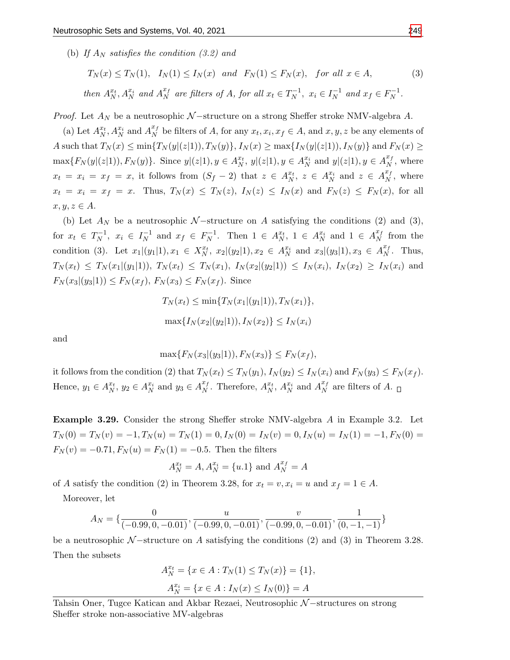(b) If  $A_N$  satisfies the condition (3.2) and

$$
T_N(x) \le T_N(1), \quad I_N(1) \le I_N(x) \quad and \quad F_N(1) \le F_N(x), \quad for \text{ all } x \in A,
$$
\n
$$
\text{then } A_N^{x_t}, A_N^{x_i} \text{ and } A_N^{x_f} \text{ are filters of } A, \text{ for all } x_t \in T_N^{-1}, \ x_i \in I_N^{-1} \text{ and } x_f \in F_N^{-1}.
$$
\n
$$
(3)
$$

*Proof.* Let  $A_N$  be a neutrosophic  $N$  –structure on a strong Sheffer stroke NMV-algebra A.

(a) Let  $A_N^{x_t}, A_N^{x_i}$  and  $A_N^{x_f}$  $X<sub>N</sub><sup>x<sub>f</sub></sup>$  be filters of A, for any  $x<sub>t</sub>, x<sub>i</sub>, x<sub>f</sub> \in A$ , and  $x, y, z$  be any elements of A such that  $T_N(x) \le \min\{T_N(y|(z|1)), T_N(y)\}, I_N(x) \ge \max\{I_N(y|(z|1)), I_N(y)\}\$  and  $F_N(x) \ge$  $\max\{F_N(y|(z|1)), F_N(y)\}.$  Since  $y|(z|1), y \in A_N^{x_t}, y|(z|1), y \in A_N^{x_i}$  and  $y|(z|1), y \in A_N^{x_f}$  $_N^{x_f}$ , where  $x_t = x_i = x_f = x$ , it follows from  $(S_f - 2)$  that  $z \in A_N^{x_t}$ ,  $z \in A_N^{x_i}$  and  $z \in A_N^{x_f}$  $\frac{x_f}{N}$ , where  $x_t = x_i = x_f = x$ . Thus,  $T_N(x) \leq T_N(z)$ ,  $I_N(z) \leq I_N(x)$  and  $F_N(z) \leq F_N(x)$ , for all  $x, y, z \in A$ .

(b) Let  $A_N$  be a neutrosophic N-structure on A satisfying the conditions (2) and (3), for  $x_t \in T_N^{-1}$  $x_i^{-1}, x_i \in I_N^{-1}$  $\overline{N}$ <sup>1</sup> and  $x_f \in F_N^{-1}$  $N^{-1}$ . Then  $1 \in A_N^{x_t}$ ,  $1 \in A_N^{x_i}$  and  $1 \in A_N^{x_f}$  $\frac{df}{N}$  from the condition (3). Let  $x_1|(y_1|1), x_1 \in X_N^{x_t}, x_2|(y_2|1), x_2 \in A_N^{x_i}$  and  $x_3|(y_3|1), x_3 \in A_N^{x_t}$  $N^x$ . Thus,  $T_N(x_t) \leq T_N(x_1|(y_1|1)), T_N(x_t) \leq T_N(x_1), T_N(x_2|(y_2|1)) \leq T_N(x_i), T_N(x_2) \geq T_N(x_i)$  and  $F_N(x_3|(y_3|1)) \leq F_N(x_f), F_N(x_3) \leq F_N(x_f).$  Since

$$
T_N(x_t) \le \min\{T_N(x_1|(y_1|1)), T_N(x_1)\},\
$$

$$
\max\{I_N(x_2|(y_2|1)), I_N(x_2)\} \le I_N(x_i)
$$

and

$$
\max\{F_N(x_3|(y_3|1)), F_N(x_3)\} \le F_N(x_f),
$$

it follows from the condition (2) that  $T_N(x_t) \leq T_N(y_1)$ ,  $I_N(y_2) \leq I_N(x_i)$  and  $F_N(y_3) \leq F_N(x_f)$ . Hence,  $y_1 \in A_N^{x_t}, y_2 \in A_N^{x_i}$  and  $y_3 \in A_N^{x_f}$  $X_N^{\mathcal{I}_f}$ . Therefore,  $A_N^{\mathcal{X}_t}$ ,  $A_N^{\mathcal{X}_i}$  and  $A_N^{\mathcal{X}_f}$  $\frac{d}{N}$  are filters of A.

Example 3.29. Consider the strong Sheffer stroke NMV-algebra A in Example 3.2. Let  $T_N(0) = T_N(v) = -1, T_N(u) = T_N(1) = 0, I_N(0) = I_N(v) = 0, I_N(u) = I_N(1) = -1, F_N(0) = 0$  $F_N(v) = -0.71, F_N(u) = F_N(1) = -0.5$ . Then the filters

$$
A_N^{x_t} = A, A_N^{x_i} = \{u.1\}
$$
 and  $A_N^{x_f} = A$ 

of A satisfy the condition (2) in Theorem 3.28, for  $x_t = v, x_i = u$  and  $x_f = 1 \in A$ .

Moreover, let

$$
A_N = \{ \frac{0}{(-0.99, 0, -0.01)}, \frac{u}{(-0.99, 0, -0.01)}, \frac{v}{(-0.99, 0, -0.01)}, \frac{1}{(0, -1, -1)} \}
$$

be a neutrosophic  $\mathcal{N}-$ structure on A satisfying the conditions (2) and (3) in Theorem 3.28. Then the subsets

$$
A_N^{x_t} = \{ x \in A : T_N(1) \le T_N(x) \} = \{ 1 \},
$$
  

$$
A_N^{x_i} = \{ x \in A : I_N(x) \le I_N(0) \} = A
$$

Tahsin Oner, Tugce Katican and Akbar Rezaei, Neutrosophic N-structures on strong Sheffer stroke non-associative MV-algebras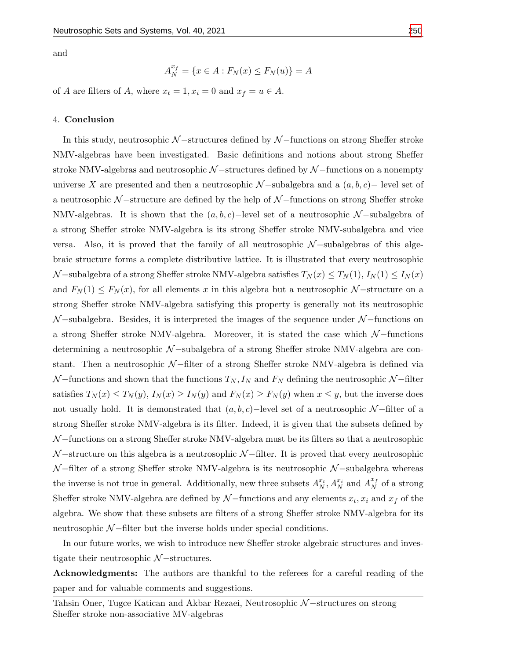$$
A_N^{x_f} = \{ x \in A : F_N(x) \le F_N(u) \} = A
$$

of A are filters of A, where  $x_t = 1, x_i = 0$  and  $x_f = u \in A$ .

#### 4. Conclusion

In this study, neutrosophic  $N$  –structures defined by  $N$  –functions on strong Sheffer stroke NMV-algebras have been investigated. Basic definitions and notions about strong Sheffer stroke NMV-algebras and neutrosophic  $\mathcal{N}-$ structures defined by  $\mathcal{N}-$ functions on a nonempty universe X are presented and then a neutrosophic  $N$  –subalgebra and a  $(a, b, c)$  – level set of a neutrosophic  $\mathcal{N}-$ structure are defined by the help of  $\mathcal{N}-$ functions on strong Sheffer stroke NMV-algebras. It is shown that the  $(a, b, c)$ -level set of a neutrosophic N-subalgebra of a strong Sheffer stroke NMV-algebra is its strong Sheffer stroke NMV-subalgebra and vice versa. Also, it is proved that the family of all neutrosophic  $\mathcal{N}-subalgebras$  of this algebraic structure forms a complete distributive lattice. It is illustrated that every neutrosophic  $\mathcal{N}-$ subalgebra of a strong Sheffer stroke NMV-algebra satisfies  $T_N(x) \leq T_N(1)$ ,  $I_N(1) \leq I_N(x)$ and  $F_N(1) \leq F_N(x)$ , for all elements x in this algebra but a neutrosophic N-structure on a strong Sheffer stroke NMV-algebra satisfying this property is generally not its neutrosophic  $\mathcal{N}-$ subalgebra. Besides, it is interpreted the images of the sequence under  $\mathcal{N}-$ functions on a strong Sheffer stroke NMV-algebra. Moreover, it is stated the case which  $N$ -functions determining a neutrosophic N −subalgebra of a strong Sheffer stroke NMV-algebra are constant. Then a neutrosophic N −filter of a strong Sheffer stroke NMV-algebra is defined via  $\mathcal{N}-$  functions and shown that the functions  $T_N, I_N$  and  $F_N$  defining the neutrosophic  $\mathcal{N}-$ filter satisfies  $T_N(x) \leq T_N(y)$ ,  $I_N(x) \geq I_N(y)$  and  $F_N(x) \geq F_N(y)$  when  $x \leq y$ , but the inverse does not usually hold. It is demonstrated that  $(a, b, c)$  –level set of a neutrosophic N –filter of a strong Sheffer stroke NMV-algebra is its filter. Indeed, it is given that the subsets defined by  $\mathcal{N}-$ functions on a strong Sheffer stroke NMV-algebra must be its filters so that a neutrosophic  $\mathcal{N}-$ structure on this algebra is a neutrosophic  $\mathcal{N}-$ filter. It is proved that every neutrosophic  $\mathcal{N}-$ filter of a strong Sheffer stroke NMV-algebra is its neutrosophic  $\mathcal{N}-$ subalgebra whereas the inverse is not true in general. Additionally, new three subsets  $A_N^{x_t}, A_N^{x_i}$  and  $A_N^{x_f}$  $\frac{f}{N}$  of a strong Sheffer stroke NMV-algebra are defined by  $\mathcal{N}-$  functions and any elements  $x_t, x_i$  and  $x_f$  of the algebra. We show that these subsets are filters of a strong Sheffer stroke NMV-algebra for its neutrosophic  $N$  –filter but the inverse holds under special conditions.

In our future works, we wish to introduce new Sheffer stroke algebraic structures and investigate their neutrosophic  $\mathcal{N}-$ structures.

Acknowledgments: The authors are thankful to the referees for a careful reading of the paper and for valuable comments and suggestions.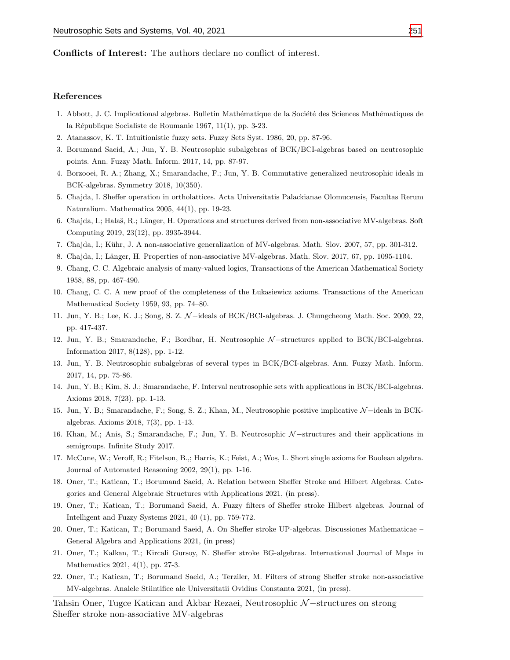Conflicts of Interest: The authors declare no conflict of interest.

#### References

- <span id="page-16-6"></span>1. Abbott, J. C. Implicational algebras. Bulletin Mathématique de la Société des Sciences Mathématiques de la République Socialiste de Roumanie 1967, 11(1), pp. 3-23.
- <span id="page-16-0"></span>2. Atanassov, K. T. Intuitionistic fuzzy sets. Fuzzy Sets Syst. 1986, 20, pp. 87-96.
- <span id="page-16-1"></span>3. Borumand Saeid, A.; Jun, Y. B. Neutrosophic subalgebras of BCK/BCI-algebras based on neutrosophic points. Ann. Fuzzy Math. Inform. 2017, 14, pp. 87-97.
- <span id="page-16-2"></span>4. Borzooei, R. A.; Zhang, X.; Smarandache, F.; Jun, Y. B. Commutative generalized neutrosophic ideals in BCK-algebras. Symmetry 2018, 10(350).
- <span id="page-16-7"></span>5. Chajda, I. Sheffer operation in ortholattices. Acta Universitatis Palackianae Olomucensis, Facultas Rerum Naturalium. Mathematica 2005, 44(1), pp. 19-23.
- <span id="page-16-16"></span>6. Chajda, I.; Halaš, R.; Länger, H. Operations and structures derived from non-associative MV-algebras. Soft Computing 2019, 23(12), pp. 3935-3944.
- <span id="page-16-14"></span>7. Chajda, I.; K¨uhr, J. A non-associative generalization of MV-algebras. Math. Slov. 2007, 57, pp. 301-312.
- <span id="page-16-15"></span>8. Chajda, I.; Länger, H. Properties of non-associative MV-algebras. Math. Slov. 2017, 67, pp. 1095-1104.
- <span id="page-16-12"></span>9. Chang, C. C. Algebraic analysis of many-valued logics, Transactions of the American Mathematical Society 1958, 88, pp. 467-490.
- <span id="page-16-13"></span>10. Chang, C. C. A new proof of the completeness of the Lukasiewicz axioms. Transactions of the American Mathematical Society 1959, 93, pp. 74–80.
- <span id="page-16-3"></span>11. Jun, Y. B.; Lee, K. J.; Song, S. Z. N −ideals of BCK/BCI-algebras. J. Chungcheong Math. Soc. 2009, 22, pp. 417-437.
- 12. Jun, Y. B.; Smarandache, F.; Bordbar, H. Neutrosophic N-structures applied to BCK/BCI-algebras. Information 2017, 8(128), pp. 1-12.
- 13. Jun, Y. B. Neutrosophic subalgebras of several types in BCK/BCI-algebras. Ann. Fuzzy Math. Inform. 2017, 14, pp. 75-86.
- 14. Jun, Y. B.; Kim, S. J.; Smarandache, F. Interval neutrosophic sets with applications in BCK/BCI-algebras. Axioms 2018, 7(23), pp. 1-13.
- 15. Jun, Y. B.; Smarandache, F.; Song, S. Z.; Khan, M., Neutrosophic positive implicative N −ideals in BCKalgebras. Axioms 2018, 7(3), pp. 1-13.
- <span id="page-16-4"></span>16. Khan, M.; Anis, S.; Smarandache, F.; Jun, Y. B. Neutrosophic N −structures and their applications in semigroups. Infinite Study 2017.
- <span id="page-16-5"></span>17. McCune, W.; Veroff, R.; Fitelson, B.,; Harris, K.; Feist, A.; Wos, L. Short single axioms for Boolean algebra. Journal of Automated Reasoning 2002, 29(1), pp. 1-16.
- <span id="page-16-8"></span>18. Oner, T.; Katican, T.; Borumand Saeid, A. Relation between Sheffer Stroke and Hilbert Algebras. Categories and General Algebraic Structures with Applications 2021, (in press).
- <span id="page-16-9"></span>19. Oner, T.; Katican, T.; Borumand Saeid, A. Fuzzy filters of Sheffer stroke Hilbert algebras. Journal of Intelligent and Fuzzy Systems 2021, 40 (1), pp. 759-772.
- <span id="page-16-10"></span>20. Oner, T.; Katican, T.; Borumand Saeid, A. On Sheffer stroke UP-algebras. Discussiones Mathematicae – General Algebra and Applications 2021, (in press)
- <span id="page-16-11"></span>21. Oner, T.; Kalkan, T.; Kircali Gursoy, N. Sheffer stroke BG-algebras. International Journal of Maps in Mathematics 2021, 4(1), pp. 27-3.
- <span id="page-16-17"></span>22. Oner, T.; Katican, T.; Borumand Saeid, A.; Terziler, M. Filters of strong Sheffer stroke non-associative MV-algebras. Analele Stiintifice ale Universitatii Ovidius Constanta 2021, (in press).